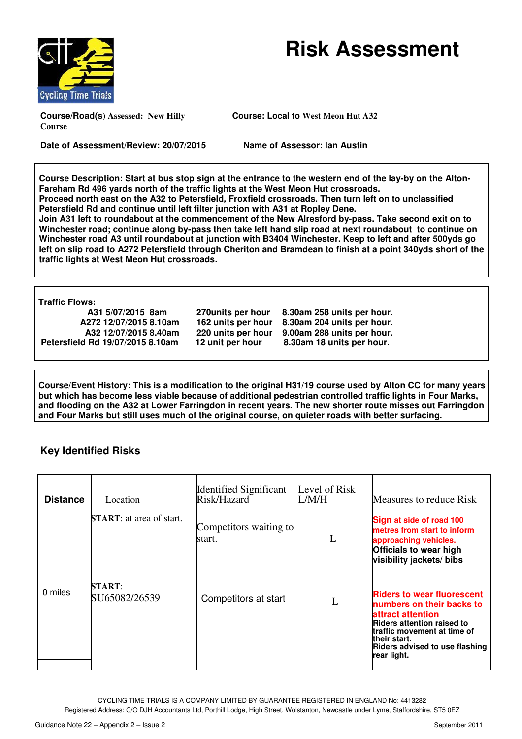



**Course/Road(s) Assessed: New Hilly Course**

**Course: Local to West Meon Hut A32**

**Date of Assessment/Review: 20/07/2015**

**Name of Assessor: Ian Austin**

**Course Description: Start at bus stop sign at the entrance to the western end of the lay lay-by on the Alton-Fareham Rd 496 yards north of the traffic lights at the West Meon Hut crossroads. Proceed north east on the A32 to Petersfield, Froxfield crossroads crossroads. Then turn left on to unclassified** 

Petersfield Rd and continue until left filter junction with A31 at Ropley Dene. **Join A31 left to roundabout at the commencement of the New Alresford by-pass. Take second exit on to** Join A31 left to roundabout at the commencement of the New Alresford by-pass. Take second exit on to<br>Winchester road; continue along by-pass then take left hand slip road at next roundabout to continue on Winchester road A3 until roundabout at junction with B3404 Winchester. Keep to left and after 500yds go left on slip road to A272 Petersfield through Cheriton and Bramdean to finish at a point 340yds short of the **traffic lights at West Meon Hut crossroads.** 

**Traffic Flows:** 

 **A31 5/07/2015 8am A272 12/07/2015 8.10am A32 12/07/2015 8.40am Petersfield Rd 19/07/2015 8.10am** 

 **270units per hour 8.30am 258 units per hour. 162 units per hour 8.30am 204 units per hour. 220 units per hour 9.00am 288 units per hour. 12 unit per hour 8.30am 18 units per hour.**

**Course/Event History: This is a modification to the original H31/19 course used by Alton CC for many years**  but which has become less viable because of additional pedestrian controlled traffic lights in Four Marks, **A** but which has become less viable because of additional pedestrian controlled traffic lights in Four Marks,<br>and flooding on the A32 at Lower Farringdon in recent years. The new shorter route misses out Farringdon **and Four Marks but still uses much of the original course, on quieter roads with better surfacing.**

## **Key Identified Risks**

| <b>Distance</b> | Location                         | <b>Identified Significant</b><br>Risk/Hazard | Level of Risk<br>L/M/H | Measures to reduce Risk                                                                                                                                                                                                  |
|-----------------|----------------------------------|----------------------------------------------|------------------------|--------------------------------------------------------------------------------------------------------------------------------------------------------------------------------------------------------------------------|
|                 | <b>START</b> : at area of start. | Competitors waiting to<br>start.             | L                      | Sign at side of road 100<br>metres from start to inform<br>approaching vehicles.<br><b>Officials to wear high</b><br>visibility jackets/ bibs                                                                            |
| 0 miles         | <b>START:</b><br>SU65082/26539   | Competitors at start                         | L                      | <b>Riders to wear fluorescent</b><br>numbers on their backs to<br>attract attention<br><b>Riders attention raised to</b><br>traffic movement at time of<br>their start.<br>Riders advised to use flashing<br>rear light. |

CYCLING TIME TRIALS IS A COMPANY LIMITED BY GUARANTEE REGISTERED IN ENGLAND No: 44132 4413282

Registered Address: C/O DJH Accountants Ltd, Porthill Lodge, High Street, Wolstanton, Newcastle under Lyme, Staffordshire, ST5 0EZ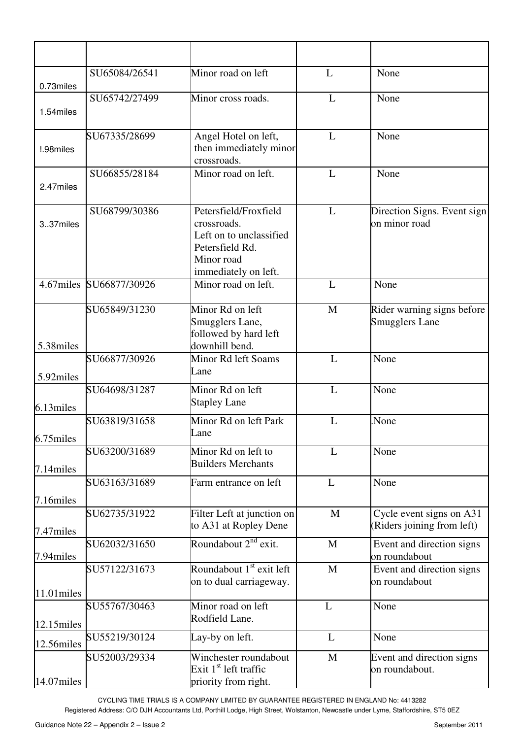| 0.73miles     | SU65084/26541           | Minor road on left                                                                                                       | L            | None                                                   |
|---------------|-------------------------|--------------------------------------------------------------------------------------------------------------------------|--------------|--------------------------------------------------------|
| 1.54miles     | SU65742/27499           | Minor cross roads.                                                                                                       | L            | None                                                   |
| !.98miles     | SU67335/28699           | Angel Hotel on left,<br>then immediately minor<br>crossroads.                                                            | L            | None                                                   |
| 2.47miles     | SU66855/28184           | Minor road on left.                                                                                                      | L            | None                                                   |
| 337miles      | SU68799/30386           | Petersfield/Froxfield<br>crossroads.<br>Left on to unclassified<br>Petersfield Rd.<br>Minor road<br>immediately on left. | L            | Direction Signs. Event sign<br>on minor road           |
|               | 4.67miles SU66877/30926 | Minor road on left.                                                                                                      | L            | None                                                   |
| 5.38miles     | SU65849/31230           | Minor Rd on left<br>Smugglers Lane,<br>followed by hard left<br>downhill bend.                                           | $\mathbf{M}$ | Rider warning signs before<br><b>Smugglers Lane</b>    |
| 5.92miles     | SU66877/30926           | Minor Rd left Soams<br>Lane                                                                                              | L            | None                                                   |
| 6.13miles     | SU64698/31287           | Minor Rd on left<br><b>Stapley Lane</b>                                                                                  | L            | None                                                   |
| 6.75miles     | SU63819/31658           | Minor Rd on left Park<br>Lane                                                                                            | L            | None.                                                  |
| 7.14miles     | SU63200/31689           | Minor Rd on left to<br><b>Builders Merchants</b>                                                                         | L            | None                                                   |
| 7.16miles     | SU63163/31689           | Farm entrance on left                                                                                                    | L            | None                                                   |
| 7.47miles     | SU62735/31922           | Filter Left at junction on<br>to A31 at Ropley Dene                                                                      | $\mathbf{M}$ | Cycle event signs on A31<br>(Riders joining from left) |
| 7.94miles     | SU62032/31650           | Roundabout $2^{nd}$ exit.                                                                                                | $\mathbf{M}$ | Event and direction signs<br>on roundabout             |
| $11.01$ miles | SU57122/31673           | Roundabout $1st$ exit left<br>on to dual carriageway.                                                                    | $\mathbf M$  | Event and direction signs<br>on roundabout             |
| 12.15miles    | SU55767/30463           | Minor road on left<br>Rodfield Lane.                                                                                     | L            | None                                                   |
| 12.56miles    | SU55219/30124           | Lay-by on left.                                                                                                          | L            | None                                                   |
| 14.07miles    | SU52003/29334           | Winchester roundabout<br>Exit $1st$ left traffic<br>priority from right.                                                 | $\mathbf M$  | Event and direction signs<br>on roundabout.            |

CYCLING TIME TRIALS IS A COMPANY LIMITED BY GUARANTEE REGISTERED IN ENGLAND No: 4413282

Registered Address: C/O DJH Accountants Ltd, Porthill Lodge, High Street, Wolstanton, Newcastle under Lyme, Staffordshire, ST5 0EZ